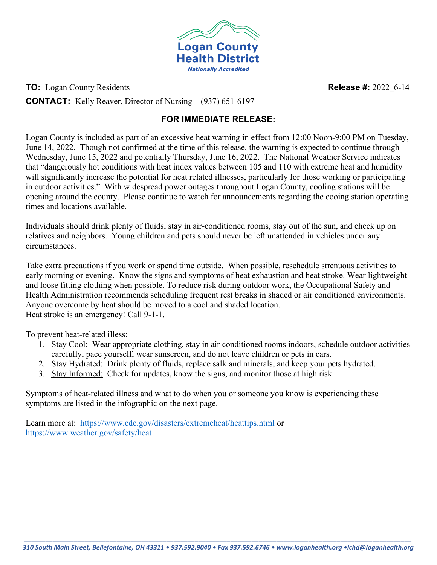

**TO:** Logan County Residents **Release #:** 2022 6-14

**CONTACT:** Kelly Reaver, Director of Nursing – (937) 651-6197

## **FOR IMMEDIATE RELEASE:**

Logan County is included as part of an excessive heat warning in effect from 12:00 Noon-9:00 PM on Tuesday, June 14, 2022. Though not confirmed at the time of this release, the warning is expected to continue through Wednesday, June 15, 2022 and potentially Thursday, June 16, 2022. The National Weather Service indicates that "dangerously hot conditions with heat index values between 105 and 110 with extreme heat and humidity will significantly increase the potential for heat related illnesses, particularly for those working or participating in outdoor activities." With widespread power outages throughout Logan County, cooling stations will be opening around the county. Please continue to watch for announcements regarding the cooing station operating times and locations available.

Individuals should drink plenty of fluids, stay in air-conditioned rooms, stay out of the sun, and check up on relatives and neighbors. Young children and pets should never be left unattended in vehicles under any circumstances.

Take extra precautions if you work or spend time outside. When possible, reschedule strenuous activities to early morning or evening. Know the signs and symptoms of heat exhaustion and heat stroke. Wear lightweight and loose fitting clothing when possible. To reduce risk during outdoor work, the Occupational Safety and Health Administration recommends scheduling frequent rest breaks in shaded or air conditioned environments. Anyone overcome by heat should be moved to a cool and shaded location. Heat stroke is an emergency! Call 9-1-1.

To prevent heat-related illess:

- 1. Stay Cool: Wear appropriate clothing, stay in air conditioned rooms indoors, schedule outdoor activities carefully, pace yourself, wear sunscreen, and do not leave children or pets in cars.
- 2. Stay Hydrated: Drink plenty of fluids, replace salk and minerals, and keep your pets hydrated.
- 3. Stay Informed: Check for updates, know the signs, and monitor those at high risk.

Symptoms of heat-related illness and what to do when you or someone you know is experiencing these symptoms are listed in the infographic on the next page.

Learn more at: <https://www.cdc.gov/disasters/extremeheat/heattips.html> or <https://www.weather.gov/safety/heat>